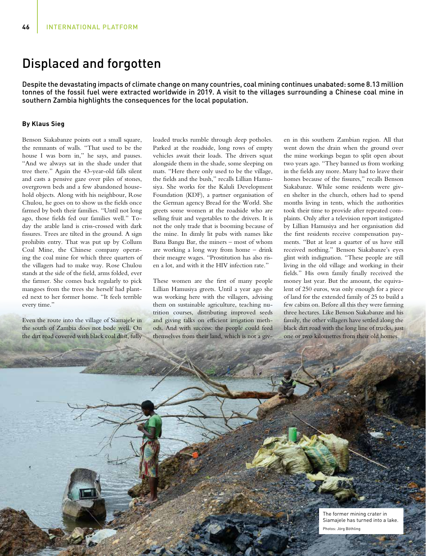## Displaced and forgotten

Despite the devastating impacts of climate change on many countries, coal mining continues unabated: some 8.13 million tonnes of the fossil fuel were extracted worldwide in 2019. A visit to the villages surrounding a Chinese coal mine in southern Zambia highlights the consequences for the local population.

## **By Klaus Sieg**

Benson Siakabanze points out a small square, the remnants of walls. "That used to be the house I was born in," he says, and pauses. "And we always sat in the shade under that tree there." Again the 43-year-old falls silent and casts a pensive gaze over piles of stones, overgrown beds and a few abandoned household objects. Along with his neighbour, Rose Chulou, he goes on to show us the fields once farmed by both their families. "Until not long ago, those fields fed our families well." Today the arable land is criss-crossed with dark fissures. Trees are tilted in the ground. A sign prohibits entry. That was put up by Collum Coal Mine, the Chinese company operating the coal mine for which three quarters of the villagers had to make way. Rose Chulou stands at the side of the field, arms folded, ever the farmer. She comes back regularly to pick mangoes from the trees she herself had planted next to her former home. "It feels terrible every time."

Even the route into the village of Siamajele in the south of Zambia does not bode well. On the dirt road covered with black coal dust, fully loaded trucks rumble through deep potholes. Parked at the roadside, long rows of empty vehicles await their loads. The drivers squat alongside them in the shade, some sleeping on mats. "Here there only used to be the village, the fields and the bush," recalls Lillian Hamusiya. She works for the Kaluli Development Foundation (KDF), a partner organisation of the German agency Bread for the World. She greets some women at the roadside who are selling fruit and vegetables to the drivers. It is not the only trade that is booming because of the mine. In dimly lit pubs with names like Bana Bangu Bar, the miners – most of whom are working a long way from home – drink their meagre wages. "Prostitution has also risen a lot, and with it the HIV infection rate."

These women are the first of many people Lillian Hamusiya greets. Until a year ago she was working here with the villagers, advising them on sustainable agriculture, teaching nutrition courses, distributing improved seeds and giving talks on efficient irrigation methods. And with success: the people could feed themselves from their land, which is not a given in this southern Zambian region. All that went down the drain when the ground over the mine workings began to split open about two years ago. "They banned us from working in the fields any more. Many had to leave their homes because of the fissures," recalls Benson Siakabanze. While some residents were given shelter in the church, others had to spend months living in tents, which the authorities took their time to provide after repeated complaints. Only after a television report instigated by Lillian Hamusiya and her organisation did the first residents receive compensation payments. "But at least a quarter of us have still received nothing." Benson Siakabanze's eyes glint with indignation. "These people are still living in the old village and working in their fields." His own family finally received the money last year. But the amount, the equivalent of 250 euros, was only enough for a piece of land for the extended family of 25 to build a few cabins on. Before all this they were farming three hectares. Like Benson Siakabanze and his family, the other villagers have settled along the black dirt road with the long line of trucks, just one or two kilometres from their old homes.

> The former mining crater in Siamajele has turned into a lake. Photos: Jörg Böthling